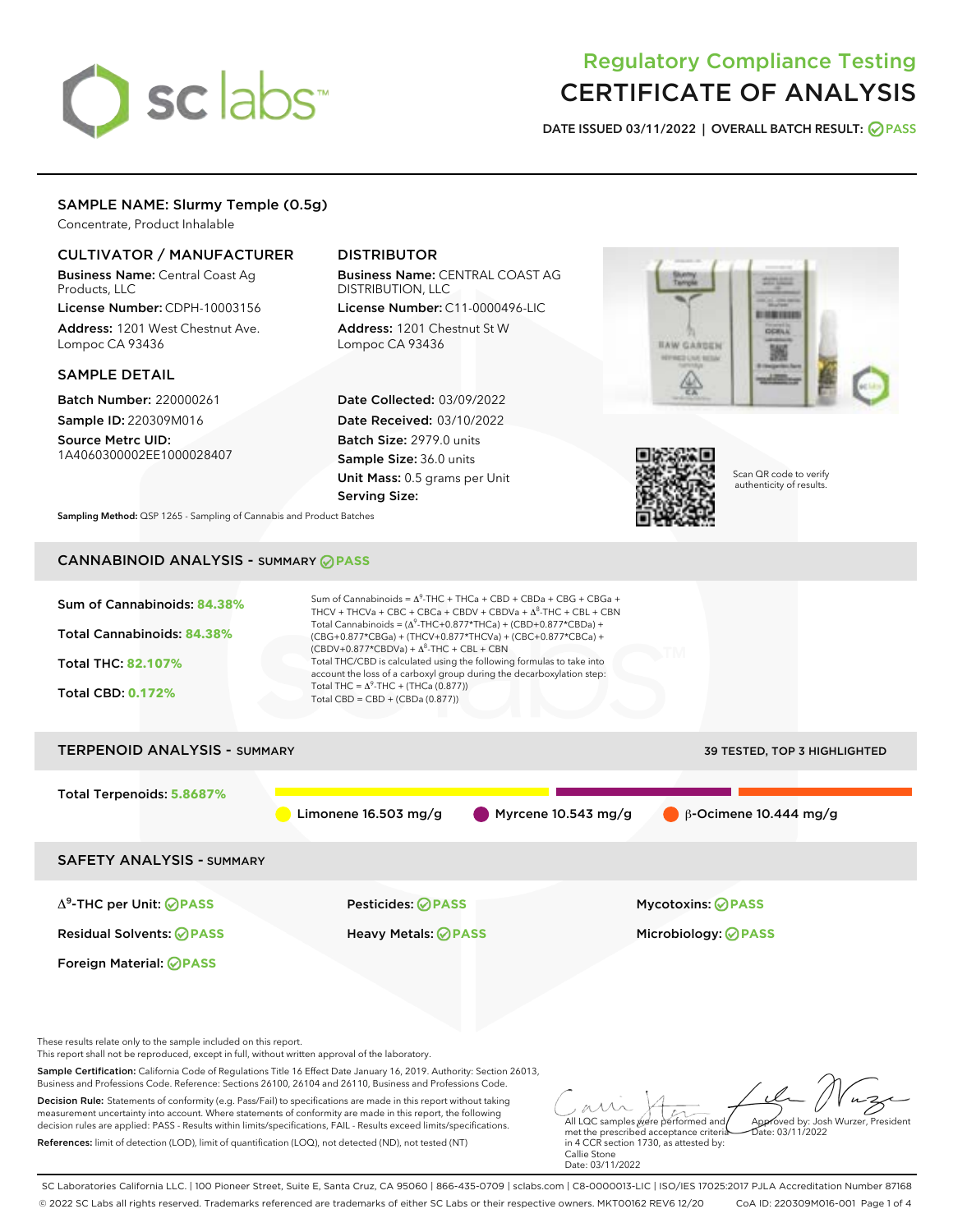# sclabs<sup>\*</sup>

# Regulatory Compliance Testing CERTIFICATE OF ANALYSIS

DATE ISSUED 03/11/2022 | OVERALL BATCH RESULT: @ PASS

# SAMPLE NAME: Slurmy Temple (0.5g)

Concentrate, Product Inhalable

# CULTIVATOR / MANUFACTURER

Business Name: Central Coast Ag Products, LLC License Number: CDPH-10003156

Address: 1201 West Chestnut Ave. Lompoc CA 93436

#### SAMPLE DETAIL

Batch Number: 220000261 Sample ID: 220309M016

Source Metrc UID: 1A4060300002EE1000028407

# DISTRIBUTOR

Business Name: CENTRAL COAST AG DISTRIBUTION, LLC

License Number: C11-0000496-LIC Address: 1201 Chestnut St W Lompoc CA 93436

Date Collected: 03/09/2022 Date Received: 03/10/2022 Batch Size: 2979.0 units Sample Size: 36.0 units Unit Mass: 0.5 grams per Unit Serving Size:





Scan QR code to verify authenticity of results.

Sampling Method: QSP 1265 - Sampling of Cannabis and Product Batches

# CANNABINOID ANALYSIS - SUMMARY **PASS**



SC Laboratories California LLC. | 100 Pioneer Street, Suite E, Santa Cruz, CA 95060 | 866-435-0709 | sclabs.com | C8-0000013-LIC | ISO/IES 17025:2017 PJLA Accreditation Number 87168 © 2022 SC Labs all rights reserved. Trademarks referenced are trademarks of either SC Labs or their respective owners. MKT00162 REV6 12/20 CoA ID: 220309M016-001 Page 1 of 4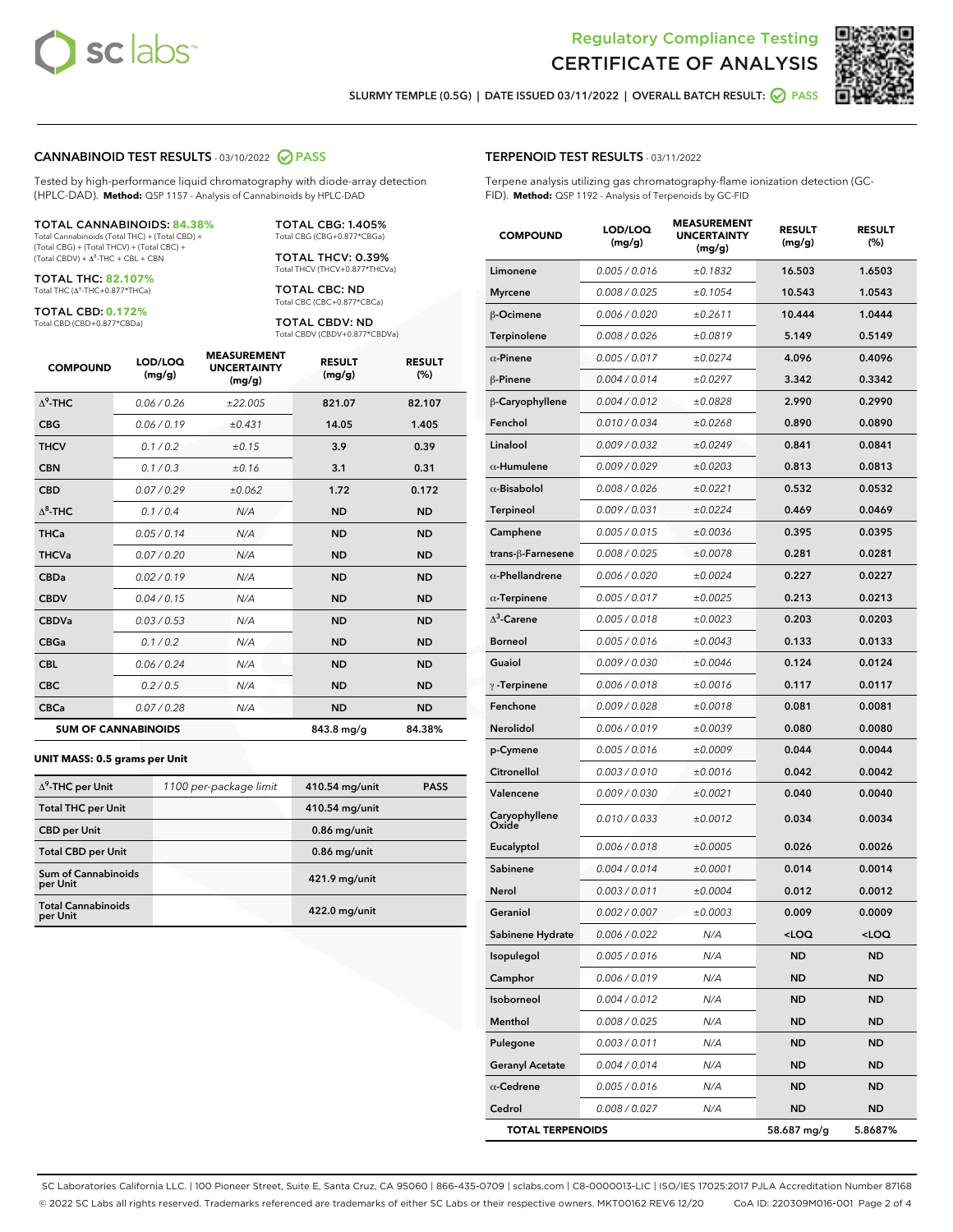



SLURMY TEMPLE (0.5G) | DATE ISSUED 03/11/2022 | OVERALL BATCH RESULT: **O PASS** 

#### CANNABINOID TEST RESULTS - 03/10/2022 2 PASS

Tested by high-performance liquid chromatography with diode-array detection (HPLC-DAD). **Method:** QSP 1157 - Analysis of Cannabinoids by HPLC-DAD

#### TOTAL CANNABINOIDS: **84.38%**

Total Cannabinoids (Total THC) + (Total CBD) + (Total CBG) + (Total THCV) + (Total CBC) +  $(Total$  CBDV) +  $\Delta$ <sup>8</sup>-THC + CBL + CBN

TOTAL THC: **82.107%** Total THC (Δ<sup>9</sup> -THC+0.877\*THCa)

TOTAL CBD: **0.172%**

Total CBD (CBD+0.877\*CBDa)

TOTAL CBG: 1.405% Total CBG (CBG+0.877\*CBGa)

TOTAL THCV: 0.39% Total THCV (THCV+0.877\*THCVa)

TOTAL CBC: ND Total CBC (CBC+0.877\*CBCa)

TOTAL CBDV: ND Total CBDV (CBDV+0.877\*CBDVa)

| <b>COMPOUND</b> | LOD/LOO<br>(mg/g)          | <b>MEASUREMENT</b><br><b>UNCERTAINTY</b><br>(mg/g) | <b>RESULT</b><br>(mg/g) | <b>RESULT</b><br>(%) |
|-----------------|----------------------------|----------------------------------------------------|-------------------------|----------------------|
| $\Delta^9$ -THC | 0.06/0.26                  | ±22.005                                            | 821.07                  | 82.107               |
| <b>CBG</b>      | 0.06/0.19                  | ±0.431                                             | 14.05                   | 1.405                |
| <b>THCV</b>     | 0.1/0.2                    | ±0.15                                              | 3.9                     | 0.39                 |
| <b>CBN</b>      | 0.1/0.3                    | ±0.16                                              | 3.1                     | 0.31                 |
| <b>CBD</b>      | 0.07/0.29                  | ±0.062                                             | 1.72                    | 0.172                |
| $\Delta^8$ -THC | 0.1 / 0.4                  | N/A                                                | <b>ND</b>               | <b>ND</b>            |
| <b>THCa</b>     | 0.05/0.14                  | N/A                                                | <b>ND</b>               | <b>ND</b>            |
| <b>THCVa</b>    | 0.07/0.20                  | N/A                                                | <b>ND</b>               | <b>ND</b>            |
| <b>CBDa</b>     | 0.02/0.19                  | N/A                                                | <b>ND</b>               | <b>ND</b>            |
| <b>CBDV</b>     | 0.04/0.15                  | N/A                                                | <b>ND</b>               | <b>ND</b>            |
| <b>CBDVa</b>    | 0.03 / 0.53                | N/A                                                | <b>ND</b>               | <b>ND</b>            |
| <b>CBGa</b>     | 0.1/0.2                    | N/A                                                | <b>ND</b>               | <b>ND</b>            |
| <b>CBL</b>      | 0.06 / 0.24                | N/A                                                | <b>ND</b>               | <b>ND</b>            |
| <b>CBC</b>      | 0.2 / 0.5                  | N/A                                                | <b>ND</b>               | <b>ND</b>            |
| <b>CBCa</b>     | 0.07/0.28                  | N/A                                                | <b>ND</b>               | <b>ND</b>            |
|                 | <b>SUM OF CANNABINOIDS</b> |                                                    | 843.8 mg/g              | 84.38%               |

#### **UNIT MASS: 0.5 grams per Unit**

| $\Delta^9$ -THC per Unit               | 1100 per-package limit | 410.54 mg/unit | <b>PASS</b> |
|----------------------------------------|------------------------|----------------|-------------|
| <b>Total THC per Unit</b>              |                        | 410.54 mg/unit |             |
| <b>CBD per Unit</b>                    |                        | $0.86$ mg/unit |             |
| <b>Total CBD per Unit</b>              |                        | $0.86$ mg/unit |             |
| <b>Sum of Cannabinoids</b><br>per Unit |                        | 421.9 mg/unit  |             |
| <b>Total Cannabinoids</b><br>per Unit  |                        | 422.0 mg/unit  |             |

| <b>COMPOUND</b>         | LOD/LOQ<br>(mg/g) | <b>UNCERTAINTY</b><br>(mg/g) | <b>RESULT</b><br>(mg/g)                         | <b>RESULT</b><br>(%) |
|-------------------------|-------------------|------------------------------|-------------------------------------------------|----------------------|
| Limonene                | 0.005 / 0.016     | ±0.1832                      | 16.503                                          | 1.6503               |
| <b>Myrcene</b>          | 0.008 / 0.025     | ±0.1054                      | 10.543                                          | 1.0543               |
| $\beta$ -Ocimene        | 0.006 / 0.020     | ±0.2611                      | 10.444                                          | 1.0444               |
| Terpinolene             | 0.008 / 0.026     | ±0.0819                      | 5.149                                           | 0.5149               |
| $\alpha$ -Pinene        | 0.005 / 0.017     | ±0.0274                      | 4.096                                           | 0.4096               |
| $\beta$ -Pinene         | 0.004 / 0.014     | ±0.0297                      | 3.342                                           | 0.3342               |
| β-Caryophyllene         | 0.004 / 0.012     | ±0.0828                      | 2.990                                           | 0.2990               |
| Fenchol                 | 0.010 / 0.034     | ±0.0268                      | 0.890                                           | 0.0890               |
| Linalool                | 0.009 / 0.032     | ±0.0249                      | 0.841                                           | 0.0841               |
| $\alpha$ -Humulene      | 0.009/0.029       | ±0.0203                      | 0.813                                           | 0.0813               |
| $\alpha$ -Bisabolol     | 0.008 / 0.026     | ±0.0221                      | 0.532                                           | 0.0532               |
| Terpineol               | 0.009 / 0.031     | ±0.0224                      | 0.469                                           | 0.0469               |
| Camphene                | 0.005 / 0.015     | ±0.0036                      | 0.395                                           | 0.0395               |
| trans-ß-Farnesene       | 0.008 / 0.025     | ±0.0078                      | 0.281                                           | 0.0281               |
| $\alpha$ -Phellandrene  | 0.006 / 0.020     | ±0.0024                      | 0.227                                           | 0.0227               |
| $\alpha$ -Terpinene     | 0.005 / 0.017     | ±0.0025                      | 0.213                                           | 0.0213               |
| $\Lambda^3$ -Carene     | 0.005 / 0.018     | ±0.0023                      | 0.203                                           | 0.0203               |
| <b>Borneol</b>          | 0.005 / 0.016     | ±0.0043                      | 0.133                                           | 0.0133               |
| Guaiol                  | 0.009 / 0.030     | ±0.0046                      | 0.124                                           | 0.0124               |
| $\gamma$ -Terpinene     | 0.006 / 0.018     | ±0.0016                      | 0.117                                           | 0.0117               |
| Fenchone                | 0.009 / 0.028     | ±0.0018                      | 0.081                                           | 0.0081               |
| Nerolidol               | 0.006 / 0.019     | ±0.0039                      | 0.080                                           | 0.0080               |
| p-Cymene                | 0.005 / 0.016     | ±0.0009                      | 0.044                                           | 0.0044               |
| Citronellol             | 0.003 / 0.010     | ±0.0016                      | 0.042                                           | 0.0042               |
| Valencene               | 0.009 / 0.030     | ±0.0021                      | 0.040                                           | 0.0040               |
| Caryophyllene<br>Oxide  | 0.010 / 0.033     | ±0.0012                      | 0.034                                           | 0.0034               |
| Eucalyptol              | 0.006 / 0.018     | ±0.0005                      | 0.026                                           | 0.0026               |
| Sabinene                | 0.004 / 0.014     | ±0.0001                      | 0.014                                           | 0.0014               |
| Nerol                   | 0.003 / 0.011     | ±0.0004                      | 0.012                                           | 0.0012               |
| Geraniol                | 0.002 / 0.007     | ±0.0003                      | 0.009                                           | 0.0009               |
| Sabinene Hydrate        | 0.006 / 0.022     | N/A                          | <loq< th=""><th><loq< th=""></loq<></th></loq<> | <loq< th=""></loq<>  |
| Isopulegol              | 0.005 / 0.016     | N/A                          | ND                                              | ND                   |
| Camphor                 | 0.006 / 0.019     | N/A                          | <b>ND</b>                                       | ND                   |
| Isoborneol              | 0.004 / 0.012     | N/A                          | <b>ND</b>                                       | ND                   |
| Menthol                 | 0.008 / 0.025     | N/A                          | ND                                              | ND                   |
| Pulegone                | 0.003 / 0.011     | N/A                          | ND                                              | ND                   |
| <b>Geranyl Acetate</b>  | 0.004 / 0.014     | N/A                          | <b>ND</b>                                       | ND                   |
| $\alpha$ -Cedrene       | 0.005 / 0.016     | N/A                          | ND                                              | ND                   |
| Cedrol                  | 0.008 / 0.027     | N/A                          | <b>ND</b>                                       | ND                   |
| <b>TOTAL TERPENOIDS</b> |                   |                              | 58.687 mg/g                                     | 5.8687%              |

SC Laboratories California LLC. | 100 Pioneer Street, Suite E, Santa Cruz, CA 95060 | 866-435-0709 | sclabs.com | C8-0000013-LIC | ISO/IES 17025:2017 PJLA Accreditation Number 87168 © 2022 SC Labs all rights reserved. Trademarks referenced are trademarks of either SC Labs or their respective owners. MKT00162 REV6 12/20 CoA ID: 220309M016-001 Page 2 of 4

# TERPENOID TEST RESULTS - 03/11/2022

Terpene analysis utilizing gas chromatography-flame ionization detection (GC-FID). **Method:** QSP 1192 - Analysis of Terpenoids by GC-FID

MEASUREMENT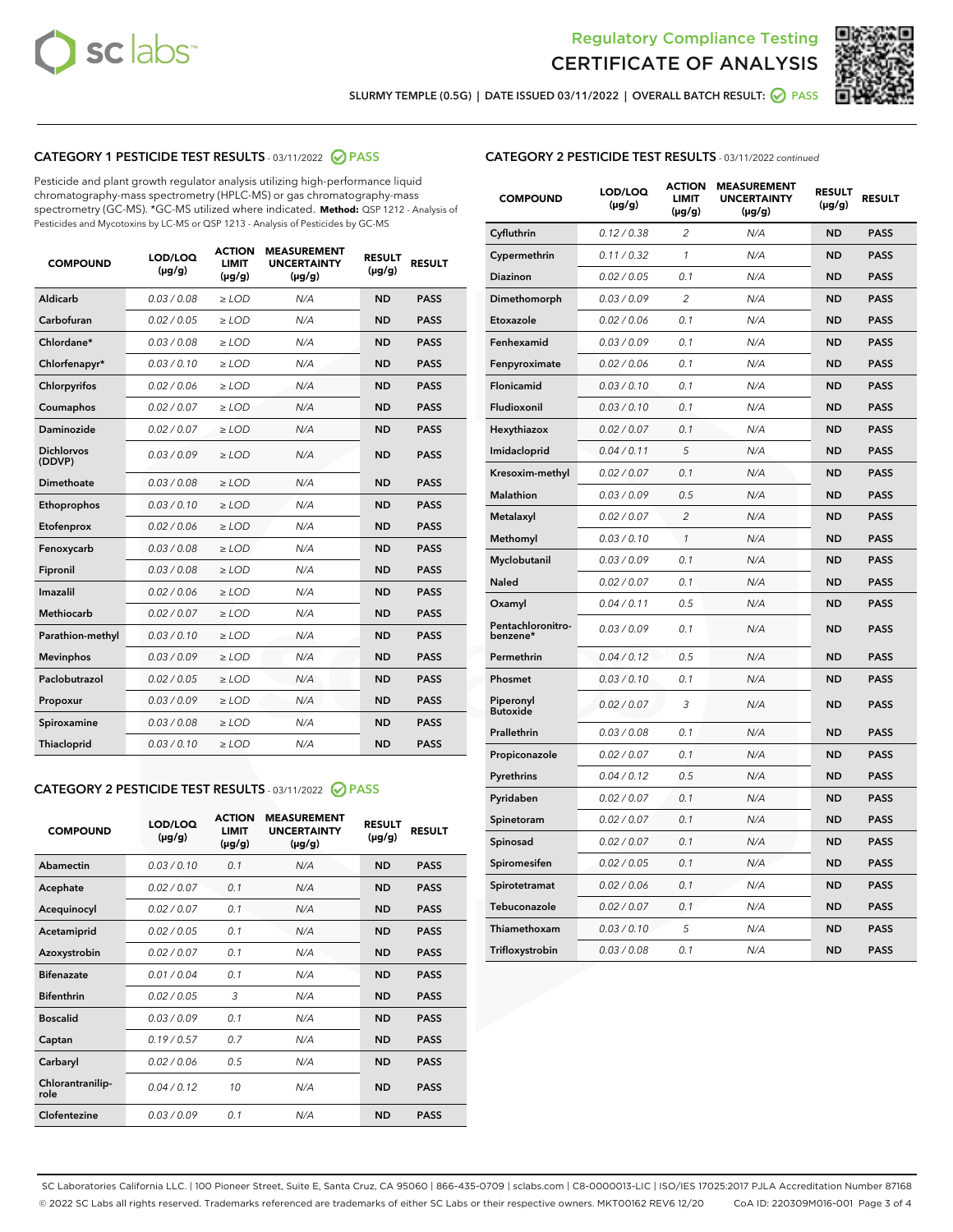



SLURMY TEMPLE (0.5G) | DATE ISSUED 03/11/2022 | OVERALL BATCH RESULT: @ PASS

# CATEGORY 1 PESTICIDE TEST RESULTS - 03/11/2022 2 PASS

Pesticide and plant growth regulator analysis utilizing high-performance liquid chromatography-mass spectrometry (HPLC-MS) or gas chromatography-mass spectrometry (GC-MS). \*GC-MS utilized where indicated. **Method:** QSP 1212 - Analysis of Pesticides and Mycotoxins by LC-MS or QSP 1213 - Analysis of Pesticides by GC-MS

| <b>COMPOUND</b>             | LOD/LOQ<br>$(\mu g/g)$ | <b>ACTION</b><br>LIMIT<br>$(\mu g/g)$ | <b>MEASUREMENT</b><br><b>UNCERTAINTY</b><br>$(\mu g/g)$ | <b>RESULT</b><br>$(\mu g/g)$ | <b>RESULT</b> |
|-----------------------------|------------------------|---------------------------------------|---------------------------------------------------------|------------------------------|---------------|
| Aldicarb                    | 0.03 / 0.08            | $\ge$ LOD                             | N/A                                                     | <b>ND</b>                    | <b>PASS</b>   |
| Carbofuran                  | 0.02 / 0.05            | $>$ LOD                               | N/A                                                     | <b>ND</b>                    | <b>PASS</b>   |
| Chlordane*                  | 0.03/0.08              | $>$ LOD                               | N/A                                                     | <b>ND</b>                    | <b>PASS</b>   |
| Chlorfenapyr*               | 0.03/0.10              | $>$ LOD                               | N/A                                                     | <b>ND</b>                    | <b>PASS</b>   |
| Chlorpyrifos                | 0.02 / 0.06            | $>$ LOD                               | N/A                                                     | <b>ND</b>                    | <b>PASS</b>   |
| Coumaphos                   | 0.02 / 0.07            | $\ge$ LOD                             | N/A                                                     | <b>ND</b>                    | <b>PASS</b>   |
| Daminozide                  | 0.02 / 0.07            | $>$ LOD                               | N/A                                                     | <b>ND</b>                    | <b>PASS</b>   |
| <b>Dichlorvos</b><br>(DDVP) | 0.03 / 0.09            | $>$ LOD                               | N/A                                                     | <b>ND</b>                    | <b>PASS</b>   |
| Dimethoate                  | 0.03 / 0.08            | $\ge$ LOD                             | N/A                                                     | <b>ND</b>                    | <b>PASS</b>   |
| Ethoprophos                 | 0.03/0.10              | $\ge$ LOD                             | N/A                                                     | <b>ND</b>                    | <b>PASS</b>   |
| Etofenprox                  | 0.02 / 0.06            | $\ge$ LOD                             | N/A                                                     | <b>ND</b>                    | <b>PASS</b>   |
| Fenoxycarb                  | 0.03/0.08              | $\ge$ LOD                             | N/A                                                     | <b>ND</b>                    | <b>PASS</b>   |
| Fipronil                    | 0.03/0.08              | $\ge$ LOD                             | N/A                                                     | <b>ND</b>                    | <b>PASS</b>   |
| Imazalil                    | 0.02/0.06              | $>$ LOD                               | N/A                                                     | <b>ND</b>                    | <b>PASS</b>   |
| <b>Methiocarb</b>           | 0.02 / 0.07            | $\ge$ LOD                             | N/A                                                     | <b>ND</b>                    | <b>PASS</b>   |
| Parathion-methyl            | 0.03/0.10              | $\ge$ LOD                             | N/A                                                     | <b>ND</b>                    | <b>PASS</b>   |
| <b>Mevinphos</b>            | 0.03/0.09              | $>$ LOD                               | N/A                                                     | <b>ND</b>                    | <b>PASS</b>   |
| Paclobutrazol               | 0.02 / 0.05            | $>$ LOD                               | N/A                                                     | <b>ND</b>                    | <b>PASS</b>   |
| Propoxur                    | 0.03/0.09              | $\ge$ LOD                             | N/A                                                     | <b>ND</b>                    | <b>PASS</b>   |
| Spiroxamine                 | 0.03 / 0.08            | $\ge$ LOD                             | N/A                                                     | <b>ND</b>                    | <b>PASS</b>   |
| Thiacloprid                 | 0.03/0.10              | $>$ LOD                               | N/A                                                     | <b>ND</b>                    | <b>PASS</b>   |
|                             |                        |                                       |                                                         |                              |               |

# CATEGORY 2 PESTICIDE TEST RESULTS - 03/11/2022 @ PASS

| <b>COMPOUND</b>          | LOD/LOQ<br>$(\mu g/g)$ | <b>ACTION</b><br><b>LIMIT</b><br>$(\mu g/g)$ | <b>MEASUREMENT</b><br><b>UNCERTAINTY</b><br>$(\mu g/g)$ | <b>RESULT</b><br>$(\mu g/g)$ | <b>RESULT</b> |
|--------------------------|------------------------|----------------------------------------------|---------------------------------------------------------|------------------------------|---------------|
| Abamectin                | 0.03/0.10              | 0.1                                          | N/A                                                     | <b>ND</b>                    | <b>PASS</b>   |
| Acephate                 | 0.02/0.07              | 0.1                                          | N/A                                                     | <b>ND</b>                    | <b>PASS</b>   |
| Acequinocyl              | 0.02/0.07              | 0.1                                          | N/A                                                     | <b>ND</b>                    | <b>PASS</b>   |
| Acetamiprid              | 0.02/0.05              | 0.1                                          | N/A                                                     | <b>ND</b>                    | <b>PASS</b>   |
| Azoxystrobin             | 0.02 / 0.07            | 0.1                                          | N/A                                                     | <b>ND</b>                    | <b>PASS</b>   |
| <b>Bifenazate</b>        | 0.01/0.04              | 0.1                                          | N/A                                                     | <b>ND</b>                    | <b>PASS</b>   |
| <b>Bifenthrin</b>        | 0.02 / 0.05            | 3                                            | N/A                                                     | <b>ND</b>                    | <b>PASS</b>   |
| <b>Boscalid</b>          | 0.03/0.09              | 0.1                                          | N/A                                                     | <b>ND</b>                    | <b>PASS</b>   |
| Captan                   | 0.19/0.57              | 0.7                                          | N/A                                                     | <b>ND</b>                    | <b>PASS</b>   |
| Carbaryl                 | 0.02/0.06              | 0.5                                          | N/A                                                     | <b>ND</b>                    | <b>PASS</b>   |
| Chlorantranilip-<br>role | 0.04/0.12              | 10                                           | N/A                                                     | <b>ND</b>                    | <b>PASS</b>   |
| Clofentezine             | 0.03/0.09              | 0.1                                          | N/A                                                     | <b>ND</b>                    | <b>PASS</b>   |

# CATEGORY 2 PESTICIDE TEST RESULTS - 03/11/2022 continued

| <b>COMPOUND</b>               | LOD/LOQ<br>(µg/g) | <b>ACTION</b><br><b>LIMIT</b><br>(µg/g) | <b>MEASUREMENT</b><br><b>UNCERTAINTY</b><br>(µg/g) | <b>RESULT</b><br>(µg/g) | <b>RESULT</b> |
|-------------------------------|-------------------|-----------------------------------------|----------------------------------------------------|-------------------------|---------------|
| Cyfluthrin                    | 0.12 / 0.38       | $\overline{c}$                          | N/A                                                | <b>ND</b>               | <b>PASS</b>   |
| Cypermethrin                  | 0.11/0.32         | $\mathcal{I}$                           | N/A                                                | <b>ND</b>               | <b>PASS</b>   |
| <b>Diazinon</b>               | 0.02 / 0.05       | 0.1                                     | N/A                                                | <b>ND</b>               | <b>PASS</b>   |
| Dimethomorph                  | 0.03 / 0.09       | 2                                       | N/A                                                | ND                      | <b>PASS</b>   |
| Etoxazole                     | 0.02 / 0.06       | 0.1                                     | N/A                                                | <b>ND</b>               | <b>PASS</b>   |
| Fenhexamid                    | 0.03/0.09         | 0.1                                     | N/A                                                | <b>ND</b>               | <b>PASS</b>   |
| Fenpyroximate                 | 0.02 / 0.06       | 0.1                                     | N/A                                                | <b>ND</b>               | <b>PASS</b>   |
| Flonicamid                    | 0.03 / 0.10       | 0.1                                     | N/A                                                | ND                      | <b>PASS</b>   |
| Fludioxonil                   | 0.03 / 0.10       | 0.1                                     | N/A                                                | <b>ND</b>               | <b>PASS</b>   |
| Hexythiazox                   | 0.02 / 0.07       | 0.1                                     | N/A                                                | <b>ND</b>               | <b>PASS</b>   |
| Imidacloprid                  | 0.04 / 0.11       | 5                                       | N/A                                                | <b>ND</b>               | <b>PASS</b>   |
| Kresoxim-methyl               | 0.02 / 0.07       | 0.1                                     | N/A                                                | <b>ND</b>               | <b>PASS</b>   |
| <b>Malathion</b>              | 0.03 / 0.09       | 0.5                                     | N/A                                                | <b>ND</b>               | <b>PASS</b>   |
| Metalaxyl                     | 0.02 / 0.07       | $\overline{c}$                          | N/A                                                | <b>ND</b>               | <b>PASS</b>   |
| Methomyl                      | 0.03 / 0.10       | $\mathcal{I}$                           | N/A                                                | <b>ND</b>               | <b>PASS</b>   |
| Myclobutanil                  | 0.03 / 0.09       | 0.1                                     | N/A                                                | <b>ND</b>               | <b>PASS</b>   |
| Naled                         | 0.02 / 0.07       | 0.1                                     | N/A                                                | <b>ND</b>               | <b>PASS</b>   |
| Oxamyl                        | 0.04 / 0.11       | 0.5                                     | N/A                                                | ND                      | <b>PASS</b>   |
| Pentachloronitro-<br>benzene* | 0.03/0.09         | 0.1                                     | N/A                                                | ND                      | <b>PASS</b>   |
| Permethrin                    | 0.04 / 0.12       | 0.5                                     | N/A                                                | <b>ND</b>               | <b>PASS</b>   |
| Phosmet                       | 0.03 / 0.10       | 0.1                                     | N/A                                                | <b>ND</b>               | <b>PASS</b>   |
| Piperonyl<br><b>Butoxide</b>  | 0.02 / 0.07       | 3                                       | N/A                                                | <b>ND</b>               | <b>PASS</b>   |
| Prallethrin                   | 0.03 / 0.08       | 0.1                                     | N/A                                                | <b>ND</b>               | <b>PASS</b>   |
| Propiconazole                 | 0.02 / 0.07       | 0.1                                     | N/A                                                | <b>ND</b>               | <b>PASS</b>   |
| Pyrethrins                    | 0.04 / 0.12       | 0.5                                     | N/A                                                | <b>ND</b>               | <b>PASS</b>   |
| Pyridaben                     | 0.02 / 0.07       | 0.1                                     | N/A                                                | ND                      | <b>PASS</b>   |
| Spinetoram                    | 0.02 / 0.07       | 0.1                                     | N/A                                                | <b>ND</b>               | <b>PASS</b>   |
| Spinosad                      | 0.02 / 0.07       | 0.1                                     | N/A                                                | <b>ND</b>               | <b>PASS</b>   |
| Spiromesifen                  | 0.02 / 0.05       | 0.1                                     | N/A                                                | <b>ND</b>               | <b>PASS</b>   |
| Spirotetramat                 | 0.02 / 0.06       | 0.1                                     | N/A                                                | ND                      | <b>PASS</b>   |
| Tebuconazole                  | 0.02 / 0.07       | 0.1                                     | N/A                                                | <b>ND</b>               | <b>PASS</b>   |
| Thiamethoxam                  | 0.03 / 0.10       | 5                                       | N/A                                                | <b>ND</b>               | <b>PASS</b>   |
| Trifloxystrobin               | 0.03 / 0.08       | 0.1                                     | N/A                                                | <b>ND</b>               | <b>PASS</b>   |

SC Laboratories California LLC. | 100 Pioneer Street, Suite E, Santa Cruz, CA 95060 | 866-435-0709 | sclabs.com | C8-0000013-LIC | ISO/IES 17025:2017 PJLA Accreditation Number 87168 © 2022 SC Labs all rights reserved. Trademarks referenced are trademarks of either SC Labs or their respective owners. MKT00162 REV6 12/20 CoA ID: 220309M016-001 Page 3 of 4